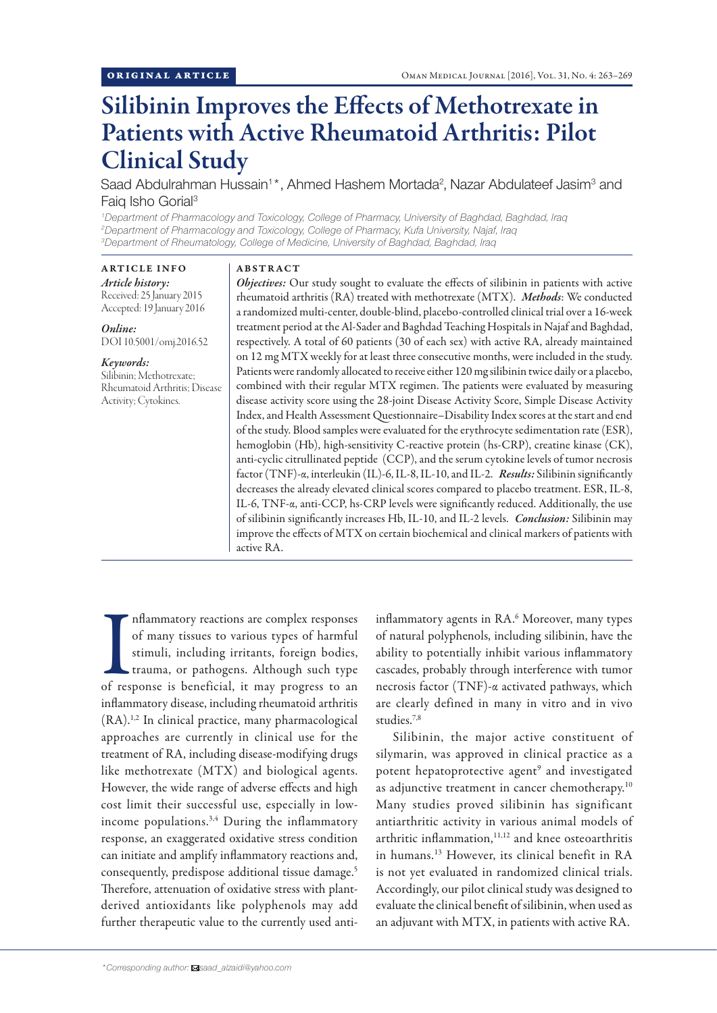# Silibinin Improves the Effects of Methotrexate in Patients with Active Rheumatoid Arthritis: Pilot Clinical Study

Saad Abdulrahman Hussain<sup>1\*</sup>, Ahmed Hashem Mortada<sup>2</sup>, Nazar Abdulateef Jasim<sup>3</sup> and Faig Isho Gorial<sup>3</sup>

*1 Department of Pharmacology and Toxicology, College of Pharmacy, University of Baghdad, Baghdad, Iraq 2 Department of Pharmacology and Toxicology, College of Pharmacy, Kufa University, Najaf, Iraq 3 Department of Rheumatology, College of Medicine, University of Baghdad, Baghdad, Iraq*

## ABSTRACT

ARTICLE INFO *Article history:* Received: 25 January 2015 Accepted: 19 January 2016

*Online:* DOI 10.5001/omj.2016.52

## *Keywords:*

Silibinin; Methotrexate; Rheumatoid Arthritis; Disease Activity; Cytokines.

*Objectives:* Our study sought to evaluate the effects of silibinin in patients with active rheumatoid arthritis (RA) treated with methotrexate (MTX). *Methods*: We conducted a randomized multi-center, double-blind, placebo-controlled clinical trial over a 16-week treatment period at the Al-Sader and Baghdad Teaching Hospitals in Najaf and Baghdad, respectively. A total of 60 patients (30 of each sex) with active RA, already maintained on 12 mg MTX weekly for at least three consecutive months, were included in the study. Patients were randomly allocated to receive either 120 mg silibinin twice daily or a placebo, combined with their regular MTX regimen. The patients were evaluated by measuring disease activity score using the 28-joint Disease Activity Score, Simple Disease Activity Index, and Health Assessment Questionnaire–Disability Index scores at the start and end of the study. Blood samples were evaluated for the erythrocyte sedimentation rate (ESR), hemoglobin (Hb), high-sensitivity C-reactive protein (hs-CRP), creatine kinase (CK), anti-cyclic citrullinated peptide (CCP), and the serum cytokine levels of tumor necrosis factor (TNF)-α, interleukin (IL)-6, IL-8, IL-10, and IL-2. *Results:* Silibinin significantly decreases the already elevated clinical scores compared to placebo treatment. ESR, IL-8, IL-6, TNF-α, anti-CCP, hs-CRP levels were significantly reduced. Additionally, the use of silibinin significantly increases Hb, IL-10, and IL-2 levels. *Conclusion:* Silibinin may improve the effects of MTX on certain biochemical and clinical markers of patients with active RA.

Inflammatory reactions are complex responses<br>of many tissues to various types of harmful<br>stimuli, including irritants, foreign bodies,<br>trauma, or pathogens. Although such type<br>of response is beneficial, it may progress to nflammatory reactions are complex responses of many tissues to various types of harmful stimuli, including irritants, foreign bodies, trauma, or pathogens. Although such type inflammatory disease, including rheumatoid arthritis (RA).1,2 In clinical practice, many pharmacological approaches are currently in clinical use for the treatment of RA, including disease-modifying drugs like methotrexate (MTX) and biological agents. However, the wide range of adverse effects and high cost limit their successful use, especially in lowincome populations.<sup>3,4</sup> During the inflammatory response, an exaggerated oxidative stress condition can initiate and amplify inflammatory reactions and, consequently, predispose additional tissue damage.5 Therefore, attenuation of oxidative stress with plantderived antioxidants like polyphenols may add further therapeutic value to the currently used anti-

inflammatory agents in RA.<sup>6</sup> Moreover, many types of natural polyphenols, including silibinin, have the ability to potentially inhibit various inflammatory cascades, probably through interference with tumor necrosis factor (TNF)-α activated pathways, which are clearly defined in many in vitro and in vivo studies<sup>7,8</sup>

Silibinin, the major active constituent of silymarin, was approved in clinical practice as a potent hepatoprotective agent<sup>9</sup> and investigated as adjunctive treatment in cancer chemotherapy.10 Many studies proved silibinin has significant antiarthritic activity in various animal models of arthritic inflammation,<sup>11,12</sup> and knee osteoarthritis in humans.13 However, its clinical benefit in RA is not yet evaluated in randomized clinical trials. Accordingly, our pilot clinical study was designed to evaluate the clinical benefit of silibinin, when used as an adjuvant with MTX, in patients with active RA.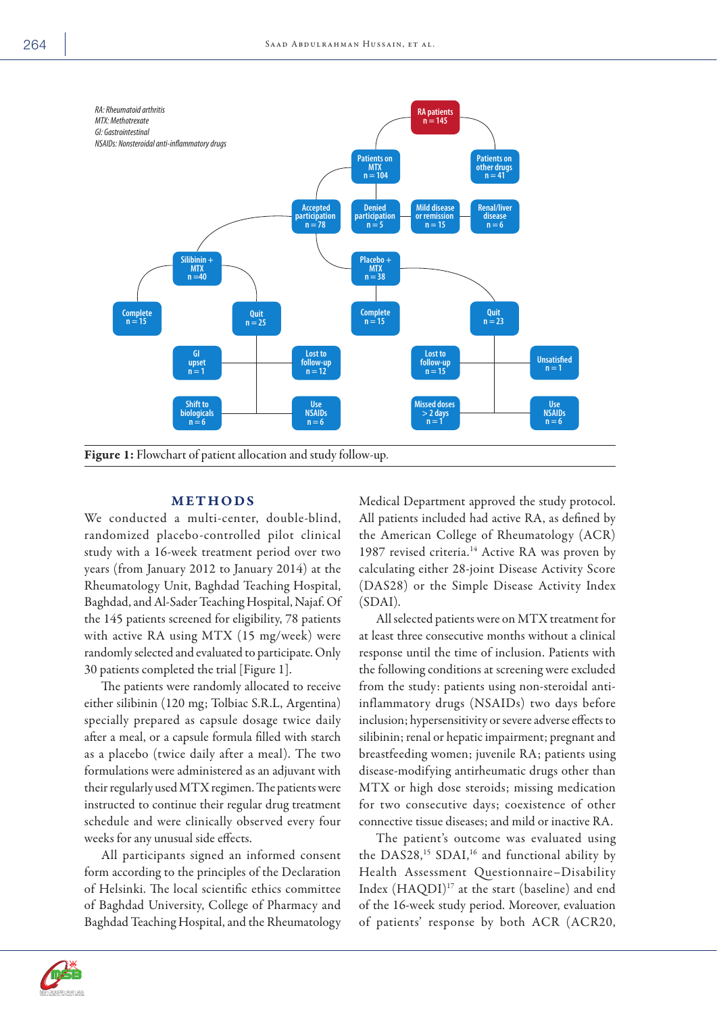

## **METHODS**

We conducted a multi-center, double-blind, randomized placebo-controlled pilot clinical study with a 16-week treatment period over two years (from January 2012 to January 2014) at the Rheumatology Unit, Baghdad Teaching Hospital, Baghdad, and Al-Sader Teaching Hospital, Najaf. Of the 145 patients screened for eligibility, 78 patients with active RA using MTX (15 mg/week) were randomly selected and evaluated to participate. Only 30 patients completed the trial [Figure 1].

The patients were randomly allocated to receive either silibinin (120 mg; Tolbiac S.R.L, Argentina) specially prepared as capsule dosage twice daily after a meal, or a capsule formula filled with starch as a placebo (twice daily after a meal). The two formulations were administered as an adjuvant with their regularly used MTX regimen. The patients were instructed to continue their regular drug treatment schedule and were clinically observed every four weeks for any unusual side effects.

All participants signed an informed consent form according to the principles of the Declaration of Helsinki. The local scientific ethics committee of Baghdad University, College of Pharmacy and Baghdad Teaching Hospital, and the Rheumatology Medical Department approved the study protocol. All patients included had active RA, as defined by the American College of Rheumatology (ACR) 1987 revised criteria.<sup>14</sup> Active RA was proven by calculating either 28-joint Disease Activity Score (DAS28) or the Simple Disease Activity Index (SDAI).

All selected patients were on MTX treatment for at least three consecutive months without a clinical response until the time of inclusion. Patients with the following conditions at screening were excluded from the study: patients using non-steroidal antiinflammatory drugs (NSAIDs) two days before inclusion; hypersensitivity or severe adverse effects to silibinin; renal or hepatic impairment; pregnant and breastfeeding women; juvenile RA; patients using disease-modifying antirheumatic drugs other than MTX or high dose steroids; missing medication for two consecutive days; coexistence of other connective tissue diseases; and mild or inactive RA.

The patient's outcome was evaluated using the DAS28,<sup>15</sup> SDAI,<sup>16</sup> and functional ability by Health Assessment Questionnaire–Disability Index (HAQDI)<sup>17</sup> at the start (baseline) and end of the 16-week study period. Moreover, evaluation of patients' response by both ACR (ACR20,

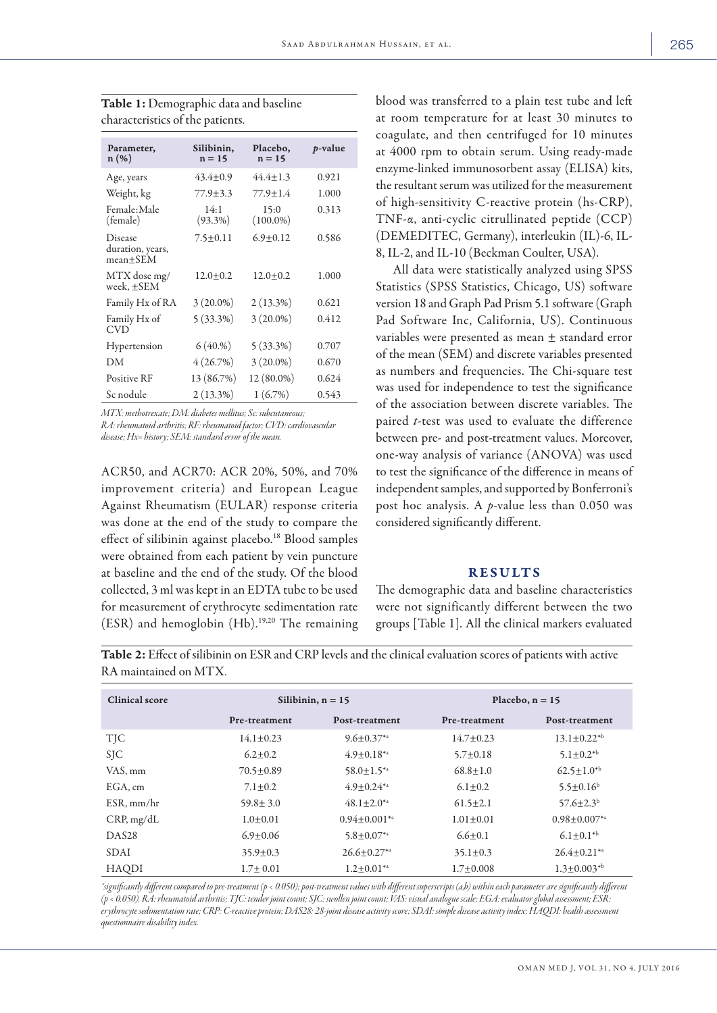| Parameter,<br>$n(\%)$                       | Silibinin,<br>$n = 15$ | Placebo,<br>$n = 15$ | <i>p</i> -value |
|---------------------------------------------|------------------------|----------------------|-----------------|
| Age, years                                  | $43.4 + 0.9$           | $44.4 \pm 1.3$       | 0.921           |
| Weight, kg                                  | 77.9+3.3               | 77.9+1.4             | 1.000           |
| Female:Male<br>(female)                     | 14:1<br>$(93.3\%)$     | 15:0<br>$(100.0\%)$  | 0.313           |
| Disease<br>duration, years,<br>$mean + SEM$ | $7.5 \pm 0.11$         | $6.9 + 0.12$         | 0.586           |
| MTX dose mg/<br>week, +SEM                  | $12.0 + 0.2$           | $12.0 + 0.2$         | 1.000           |
| Family Hx of RA                             | $3(20.0\%)$            | $2(13.3\%)$          | 0.621           |
| Family Hx of<br><b>CVD</b>                  | $5(33.3\%)$            | $3(20.0\%)$          | 0.412           |
| Hypertension                                | 6(40.% )               | $5(33.3\%)$          | 0.707           |
| DМ                                          | 4(26.7%)               | $3(20.0\%)$          | 0.670           |
| <b>Positive RF</b>                          | 13 (86.7%)             | 12 (80.0%)           | 0.624           |
| Sc nodule                                   | $2(13.3\%)$            | 1(6.7%)              | 0.543           |

Table 1: Demographic data and baseline characteristics of the patients.

*MTX: methotrexate; DM: diabetes mellitus; Sc: subcutaneous;* 

*RA: rheumatoid arthritis; RF: rheumatoid factor; CVD: cardiovascular disease; Hx= history; SEM: standard error of the mean.*

ACR50, and ACR70: ACR 20%, 50%, and 70% improvement criteria) and European League Against Rheumatism (EULAR) response criteria was done at the end of the study to compare the effect of silibinin against placebo.18 Blood samples were obtained from each patient by vein puncture at baseline and the end of the study. Of the blood collected, 3 ml was kept in an EDTA tube to be used for measurement of erythrocyte sedimentation rate (ESR) and hemoglobin (Hb).19,20 The remaining blood was transferred to a plain test tube and left at room temperature for at least 30 minutes to coagulate, and then centrifuged for 10 minutes at 4000 rpm to obtain serum. Using ready-made enzyme-linked immunosorbent assay (ELISA) kits, the resultant serum was utilized for the measurement of high-sensitivity C-reactive protein (hs-CRP), TNF-α, anti-cyclic citrullinated peptide (CCP) (DEMEDITEC, Germany), interleukin (IL)-6, IL-8, IL-2, and IL-10 (Beckman Coulter, USA).

All data were statistically analyzed using SPSS Statistics (SPSS Statistics, Chicago, US) software version 18 and Graph Pad Prism 5.1 software (Graph Pad Software Inc, California, US). Continuous variables were presented as mean ± standard error of the mean (SEM) and discrete variables presented as numbers and frequencies. The Chi-square test was used for independence to test the significance of the association between discrete variables. The paired *t*-test was used to evaluate the difference between pre- and post-treatment values. Moreover, one-way analysis of variance (ANOVA) was used to test the significance of the difference in means of independent samples, and supported by Bonferroni's post hoc analysis. A *p*-value less than 0.050 was considered significantly different.

## RESULTS

The demographic data and baseline characteristics were not significantly different between the two groups [Table 1]. All the clinical markers evaluated

Table 2: Effect of silibinin on ESR and CRP levels and the clinical evaluation scores of patients with active RA maintained on MTX.

| <b>Clinical score</b> | Silibinin, $n = 15$ |                       | Placebo, $n = 15$ |                       |
|-----------------------|---------------------|-----------------------|-------------------|-----------------------|
|                       | Pre-treatment       | Post-treatment        | Pre-treatment     | Post-treatment        |
| <b>TIC</b>            | $14.1 + 0.23$       | $9.6 + 0.37^{*}$      | $14.7 + 0.23$     | $13.1 + 0.22^{*b}$    |
| <b>SIC</b>            | $6.2 + 0.2$         | $4.9 \pm 0.18^{*}$    | $5.7 + 0.18$      | $5.1 \pm 0.2^{*b}$    |
| VAS, mm               | $70.5 \pm 0.89$     | $58.0 \pm 1.5^{*a}$   | $68.8 \pm 1.0$    | $62.5 \pm 1.0^{*b}$   |
| EGA, cm               | $7.1 + 0.2$         | $4.9 + 0.24^{*}$      | $6.1 + 0.2$       | $5.5 + 0.16^b$        |
| $ESR.$ mm/hr          | $59.8 \pm 3.0$      | $48.1 + 2.0^{*a}$     | $61.5 \pm 2.1$    | $57.6 + 2.3b$         |
| CRP, mg/dL            | $1.0+0.01$          | $0.94 \pm 0.001^{*a}$ | $1.01 + 0.01$     | $0.98 \pm 0.007^{*a}$ |
| DAS <sub>28</sub>     | $6.9 + 0.06$        | $5.8 \pm 0.07^{*a}$   | $6.6 \pm 0.1$     | $6.1 \pm 0.1^{*b}$    |
| <b>SDAI</b>           | $35.9 \pm 0.3$      | $26.6 + 0.27^{*a}$    | $35.1 \pm 0.3$    | $26.4+0.21**$         |
| <b>HAQDI</b>          | $1.7 + 0.01$        | $1.2 \pm 0.01^{*a}$   | $1.7 + 0.008$     | $1.3+0.003^{*b}$      |

*\*significantly different compared to pre-treatment (p < 0.050); post-treatment values with different superscripts (a,b) within each parameter are significantly different (p < 0.050). RA: rheumatoid arthritis; TJC: tender joint count; SJC: swollen joint count; VAS: visual analogue scale; EGA: evaluator global assessment; ESR: erythrocyte sedimentation rate; CRP: C-reactive protein; DAS28: 28-joint disease activity score; SDAI: simple disease activity index; HAQDI: health assessment questionnaire disability index.*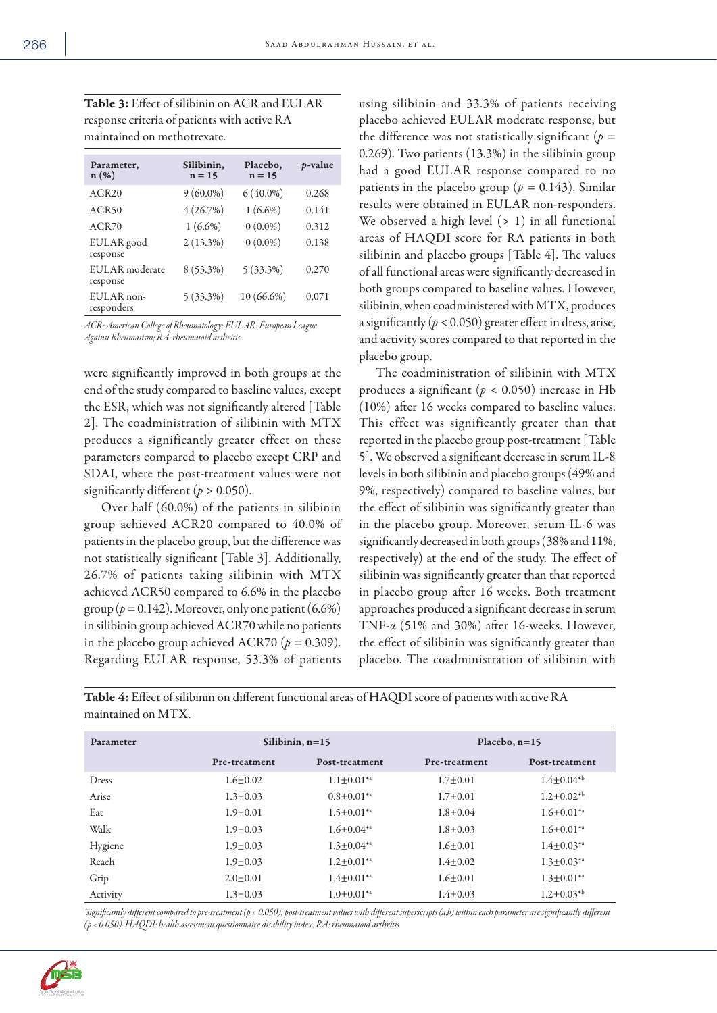Table 3: Effect of silibinin on ACR and EULAR response criteria of patients with active RA maintained on methotrexate.

| Parameter,<br>$n(\%)$      | Silibinin,<br>$n = 15$ | Placebo,<br>$n = 15$ | p-value |
|----------------------------|------------------------|----------------------|---------|
| ACR20                      | $9(60.0\%)$            | $6(40.0\%)$          | 0.268   |
| ACR <sub>50</sub>          | 4(26.7%)               | $1(6.6\%)$           | 0.141   |
| ACR70                      | $1(6.6\%)$             | $0(0.0\%)$           | 0.312   |
| EULAR good<br>response     | $2(13.3\%)$            | $0(0.0\%)$           | 0.138   |
| EULAR moderate<br>response | 8 (53.3%)              | $5(33.3\%)$          | 0.270   |
| EULAR non-<br>responders   | $5(33.3\%)$            | $10(66.6\%)$         | 0.071   |

*ACR: American College of Rheumatology; EULAR: European League Against Rheumatism; RA: rheumatoid arthritis.*

were significantly improved in both groups at the end of the study compared to baseline values, except the ESR, which was not significantly altered [Table 2]. The coadministration of silibinin with MTX produces a significantly greater effect on these parameters compared to placebo except CRP and SDAI, where the post-treatment values were not significantly different  $(p > 0.050)$ .

Over half (60.0%) of the patients in silibinin group achieved ACR20 compared to 40.0% of patients in the placebo group, but the difference was not statistically significant [Table 3]. Additionally, 26.7% of patients taking silibinin with MTX achieved ACR50 compared to 6.6% in the placebo group ( $p = 0.142$ ). Moreover, only one patient (6.6%) in silibinin group achieved ACR70 while no patients in the placebo group achieved ACR70 ( $p = 0.309$ ). Regarding EULAR response, 53.3% of patients

using silibinin and 33.3% of patients receiving placebo achieved EULAR moderate response, but the difference was not statistically significant (*p =*  0.269). Two patients (13.3%) in the silibinin group had a good EULAR response compared to no patients in the placebo group ( $p = 0.143$ ). Similar results were obtained in EULAR non-responders. We observed a high level  $(> 1)$  in all functional areas of HAQDI score for RA patients in both silibinin and placebo groups [Table 4]. The values of all functional areas were significantly decreased in both groups compared to baseline values. However, silibinin, when coadministered with MTX, produces a significantly  $(p < 0.050)$  greater effect in dress, arise, and activity scores compared to that reported in the placebo group.

The coadministration of silibinin with MTX produces a significant ( $p < 0.050$ ) increase in Hb (10%) after 16 weeks compared to baseline values. This effect was significantly greater than that reported in the placebo group post-treatment [Table 5]. We observed a significant decrease in serum IL-8 levels in both silibinin and placebo groups (49% and 9%, respectively) compared to baseline values, but the effect of silibinin was significantly greater than in the placebo group. Moreover, serum IL-6 was significantly decreased in both groups (38% and 11%, respectively) at the end of the study. The effect of silibinin was significantly greater than that reported in placebo group after 16 weeks. Both treatment approaches produced a significant decrease in serum TNF-α (51% and 30%) after 16-weeks. However, the effect of silibinin was significantly greater than placebo. The coadministration of silibinin with

Parameter Silibinin, n=15 Placebo, n=15 Pre-treatment Post-treatment Pre-treatment Post-treatment Dress 1.6±0.02  $1.1\pm0.01^{*a}$   $1.7\pm0.01$   $1.4\pm0.04^{*b}$ Arise  $1.3 \pm 0.03$   $0.8 \pm 0.01^{*a}$   $1.7 \pm 0.01$   $1.2 \pm 0.02^{*b}$ Eat  $1.9 \pm 0.01$   $1.5 \pm 0.01^{*a}$   $1.8 \pm 0.04$   $1.6 \pm 0.01^{*a}$ Walk  $1.9\pm0.03$   $1.6\pm0.04**$   $1.8\pm0.03$   $1.6\pm0.01**$ Hygiene 1.9±0.03 1.3±0.04<sup>\*\*</sup> 1.6±0.01 1.4±0.03<sup>\*\*</sup> Reach 1.9±0.03  $1.2 \pm 0.01^{*a}$   $1.4 \pm 0.02$   $1.3 \pm 0.03^{*a}$ Grip 2.0±0.01  $1.4 \pm 0.01$   $1.6 \pm 0.01$   $1.6 \pm 0.01$   $1.3 \pm 0.01$ Activity 1.3±0.03 1.3±0.03 1.0±0.01<sup>\*a</sup> 1.4±0.03 1.2±0.03<sup>\*</sup>

Table 4: Effect of silibinin on different functional areas of HAQDI score of patients with active RA maintained on MTX.

*\*significantly different compared to pre-treatment (p < 0.050); post-treatment values with different superscripts (a,b) within each parameter are significantly different (p < 0.050). HAQDI: health assessment questionnaire disability index; RA: rheumatoid arthritis.*

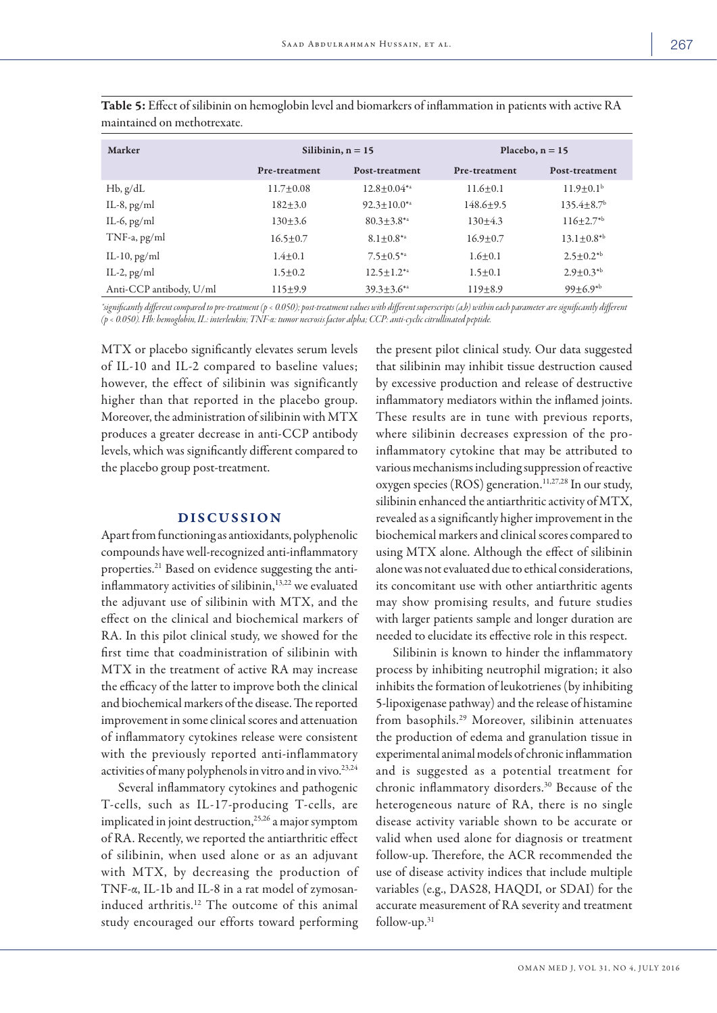| Marker                  | Silibinin, $n = 15$ |                      | Placebo, $n = 15$ |                              |
|-------------------------|---------------------|----------------------|-------------------|------------------------------|
|                         | Pre-treatment       | Post-treatment       | Pre-treatment     | Post-treatment               |
| $Hb$ , $g/dL$           | $11.7+0.08$         | $12.8 + 0.04^{*a}$   | $11.6 + 0.1$      | $11.9 + 0.1b$                |
| IL-8, $pg/ml$           | $182 \pm 3.0$       | $92.3 \pm 10.0^{*a}$ | $148.6 \pm 9.5$   | $135.4 \pm 8.7$ <sup>b</sup> |
| IL-6, $pg/ml$           | $130 \pm 3.6$       | $80.3 \pm 3.8^{*a}$  | $130 \pm 4.3$     | $116 \pm 2.7^{*b}$           |
| TNF-a, pg/ml            | $16.5 \pm 0.7$      | $8.1 \pm 0.8^{*a}$   | $16.9 + 0.7$      | $13.1 \pm 0.8$ <sup>*b</sup> |
| IL-10, $pg/ml$          | $1.4 \pm 0.1$       | $7.5 \pm 0.5^{*a}$   | $1.6 + 0.1$       | $2.5 \pm 0.2^{*b}$           |
| IL-2, $pg/ml$           | $1.5 + 0.2$         | $12.5 \pm 1.2^{*a}$  | $1.5 + 0.1$       | $2.9 \pm 0.3^{*b}$           |
| Anti-CCP antibody, U/ml | 115±9.9             | $39.3 \pm 3.6^{*a}$  | $119 + 8.9$       | $99 + 6.9^{*b}$              |

Table 5: Effect of silibinin on hemoglobin level and biomarkers of inflammation in patients with active RA maintained on methotrexate.

*\*significantly different compared to pre-treatment (p < 0.050); post-treatment values with different superscripts (a,b) within each parameter are significantly different (p < 0.050). Hb: hemoglobin, IL: interleukin; TNF-α: tumor necrosis factor alpha; CCP: anti-cyclic citrullinated peptide.* 

MTX or placebo significantly elevates serum levels of IL-10 and IL-2 compared to baseline values; however, the effect of silibinin was significantly higher than that reported in the placebo group. Moreover, the administration of silibinin with MTX produces a greater decrease in anti-CCP antibody levels, which was significantly different compared to the placebo group post-treatment.

## DISCUSSION

Apart from functioning as antioxidants, polyphenolic compounds have well-recognized anti-inflammatory properties.21 Based on evidence suggesting the antiinflammatory activities of silibinin,<sup>13,22</sup> we evaluated the adjuvant use of silibinin with MTX, and the effect on the clinical and biochemical markers of RA. In this pilot clinical study, we showed for the first time that coadministration of silibinin with MTX in the treatment of active RA may increase the efficacy of the latter to improve both the clinical and biochemical markers of the disease. The reported improvement in some clinical scores and attenuation of inflammatory cytokines release were consistent with the previously reported anti-inflammatory activities of many polyphenols in vitro and in vivo.<sup>23,24</sup>

Several inflammatory cytokines and pathogenic T-cells, such as IL-17-producing T-cells, are implicated in joint destruction,<sup>25,26</sup> a major symptom of RA. Recently, we reported the antiarthritic effect of silibinin, when used alone or as an adjuvant with MTX, by decreasing the production of TNF-α, IL-1b and IL-8 in a rat model of zymosaninduced arthritis.12 The outcome of this animal study encouraged our efforts toward performing

the present pilot clinical study. Our data suggested that silibinin may inhibit tissue destruction caused by excessive production and release of destructive inflammatory mediators within the inflamed joints. These results are in tune with previous reports, where silibinin decreases expression of the proinflammatory cytokine that may be attributed to various mechanisms including suppression of reactive oxygen species ( $ROS$ ) generation.<sup>11,27,28</sup> In our study, silibinin enhanced the antiarthritic activity of MTX, revealed as a significantly higher improvement in the biochemical markers and clinical scores compared to using MTX alone. Although the effect of silibinin alone was not evaluated due to ethical considerations, its concomitant use with other antiarthritic agents may show promising results, and future studies with larger patients sample and longer duration are needed to elucidate its effective role in this respect.

Silibinin is known to hinder the inflammatory process by inhibiting neutrophil migration; it also inhibits the formation of leukotrienes (by inhibiting 5-lipoxigenase pathway) and the release of histamine from basophils.29 Moreover, silibinin attenuates the production of edema and granulation tissue in experimental animal models of chronic inflammation and is suggested as a potential treatment for chronic inflammatory disorders.30 Because of the heterogeneous nature of RA, there is no single disease activity variable shown to be accurate or valid when used alone for diagnosis or treatment follow-up. Therefore, the ACR recommended the use of disease activity indices that include multiple variables (e.g., DAS28, HAQDI, or SDAI) for the accurate measurement of RA severity and treatment follow-up.31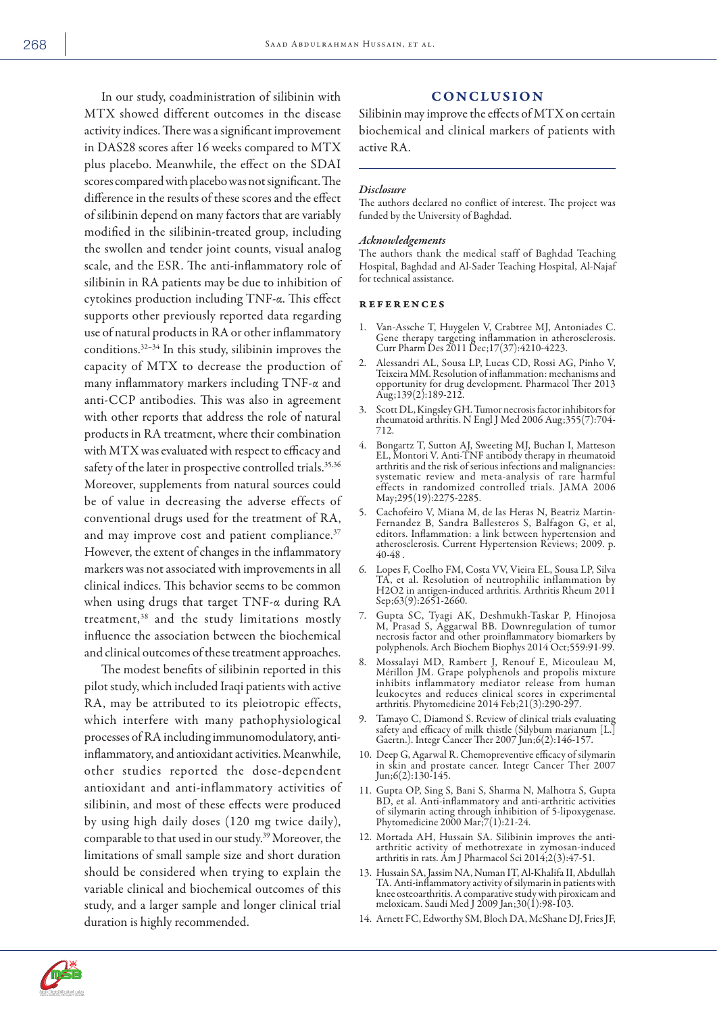In our study, coadministration of silibinin with MTX showed different outcomes in the disease activity indices. There was a significant improvement in DAS28 scores after 16 weeks compared to MTX plus placebo. Meanwhile, the effect on the SDAI scores compared with placebo was not significant. The difference in the results of these scores and the effect of silibinin depend on many factors that are variably modified in the silibinin-treated group, including the swollen and tender joint counts, visual analog scale, and the ESR. The anti-inflammatory role of silibinin in RA patients may be due to inhibition of cytokines production including TNF-α. This effect supports other previously reported data regarding use of natural products in RA or other inflammatory conditions.32–34 In this study, silibinin improves the capacity of MTX to decrease the production of many inflammatory markers including TNF-α and anti-CCP antibodies. This was also in agreement with other reports that address the role of natural products in RA treatment, where their combination with MTX was evaluated with respect to efficacy and safety of the later in prospective controlled trials.<sup>35,36</sup> Moreover, supplements from natural sources could be of value in decreasing the adverse effects of conventional drugs used for the treatment of RA, and may improve cost and patient compliance.<sup>37</sup> However, the extent of changes in the inflammatory markers was not associated with improvements in all clinical indices. This behavior seems to be common when using drugs that target TNF-α during RA treatment,38 and the study limitations mostly influence the association between the biochemical and clinical outcomes of these treatment approaches.

The modest benefits of silibinin reported in this pilot study, which included Iraqi patients with active RA, may be attributed to its pleiotropic effects, which interfere with many pathophysiological processes of RA including immunomodulatory, antiinflammatory, and antioxidant activities. Meanwhile, other studies reported the dose-dependent antioxidant and anti-inflammatory activities of silibinin, and most of these effects were produced by using high daily doses (120 mg twice daily), comparable to that used in our study.39 Moreover, the limitations of small sample size and short duration should be considered when trying to explain the variable clinical and biochemical outcomes of this study, and a larger sample and longer clinical trial duration is highly recommended.

### CONCLUSION

Silibinin may improve the effects of MTX on certain biochemical and clinical markers of patients with active RA.

#### *Disclosure*

The authors declared no conflict of interest. The project was funded by the University of Baghdad.

#### *Acknowledgements*

The authors thank the medical staff of Baghdad Teaching Hospital, Baghdad and Al-Sader Teaching Hospital, Al-Najaf for technical assistance.

#### references

- 1. Van-Assche T, Huygelen V, Crabtree MJ, Antoniades C. Gene therapy targeting inflammation in atherosclerosis. Curr Pharm Des 2011 Dec;17(37):4210-4223.
- 2. Alessandri AL, Sousa LP, Lucas CD, Rossi AG, Pinho V, Teixeira MM. Resolution of inflammation: mechanisms and opportunity for drug development. Pharmacol Ther 2013 Aug;139(2):189-212.
- 3. Scott DL, Kingsley GH. Tumor necrosis factor inhibitors for rheumatoid arthritis. N Engl J Med 2006 Aug;355(7):704- 712.
- 4. Bongartz T, Sutton AJ, Sweeting MJ, Buchan I, Matteson EL, Montori V. Anti-TNF antibody therapy in rheumatoid arthritis and the risk of serious infections and malignancies: systematic review and meta-analysis of rare harmful effects in randomized controlled trials. JAMA 2006 May;295(19):2275-2285.
- 5. Cachofeiro V, Miana M, de las Heras N, Beatriz Martin-Fernandez B, Sandra Ballesteros S, Balfagon G, et al, editors. Inflammation: a link between hypertension and atherosclerosis. Current Hypertension Reviews; 2009. p. 40-48 .
- 6. Lopes F, Coelho FM, Costa VV, Vieira EL, Sousa LP, Silva TA, et al. Resolution of neutrophilic inflammation by H2O2 in antigen-induced arthritis. Arthritis Rheum 2011 Sep;63(9):2651-2660.
- 7. Gupta SC, Tyagi AK, Deshmukh-Taskar P, Hinojosa M, Prasad S, Aggarwal BB. Downregulation of tumor necrosis factor and other proinflammatory biomarkers by polyphenols. Arch Biochem Biophys 2014 Oct;559:91-99.
- 8. Mossalayi MD, Rambert J, Renouf E, Micouleau M, Mérillon JM. Grape polyphenols and propolis mixture inhibits inflammatory mediator release from human leukocytes and reduces clinical scores in experimental arthritis. Phytomedicine 2014 Feb;21(3):290-297.
- 9. Tamayo C, Diamond S. Review of clinical trials evaluating safety and efficacy of milk thistle (Silybum marianum [L.] Gaertn.). Integr Cancer Ther 2007 Jun;6(2):146-157.
- 10. Deep G, Agarwal R. Chemopreventive efficacy of silymarin in skin and prostate cancer. Integr Cancer Ther 2007 Jun;6(2):130-145.
- 11. Gupta OP, Sing S, Bani S, Sharma N, Malhotra S, Gupta BD, et al. Anti-inflammatory and anti-arthritic activities of silymarin acting through inhibition of 5-lipoxygenase. Phytomedicine 2000 Mar;7(1):21-24.
- 12. Mortada AH, Hussain SA. Silibinin improves the antiarthritic activity of methotrexate in zymosan-induced arthritis in rats. Am J Pharmacol Sci 2014;2(3):47-51.
- 13. Hussain SA, Jassim NA, Numan IT, Al-Khalifa II, Abdullah TA. Anti-inflammatory activity of silymarin in patients with knee osteoarthritis. A comparative study with piroxicam and meloxicam. Saudi Med J 2009 Jan;30(1):98-103.
- 14. Arnett FC, Edworthy SM, Bloch DA, McShane DJ, Fries JF,